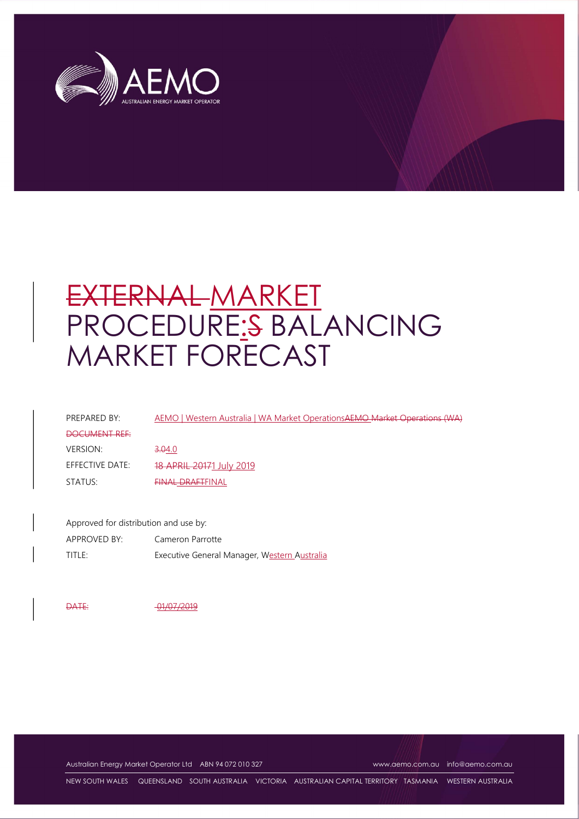

# EXTERNAL MARKET PROCEDURE:S BALANCING MARKET FORECAST

| PREPARED BY:    | AEMO   Western Australia   WA Market OperationsAEMO Market Operations (WA) |
|-----------------|----------------------------------------------------------------------------|
| DOCUMENT REF    |                                                                            |
| <b>VERSION:</b> | 3.04.0                                                                     |
| EFFECTIVE DATE: | 18 APRIL 20171 July 2019                                                   |
| STATUS:         | <b>FINAL DRAFTFINAL</b>                                                    |

Approved for distribution and use by: APPROVED BY: Cameron Parrotte TITLE: Executive General Manager, Western Australia

DATE: 01/07/2019

Australian Energy Market Operator Ltd ABN 94 072 010 327 www.aemo.com.au info@aemo.com.au

NEW SOUTH WALES QUEENSLAND SOUTH AUSTRALIA VICTORIA AUSTRALIAN CAPITAL TERRITORY TASMANIA WESTERN AUSTRALIA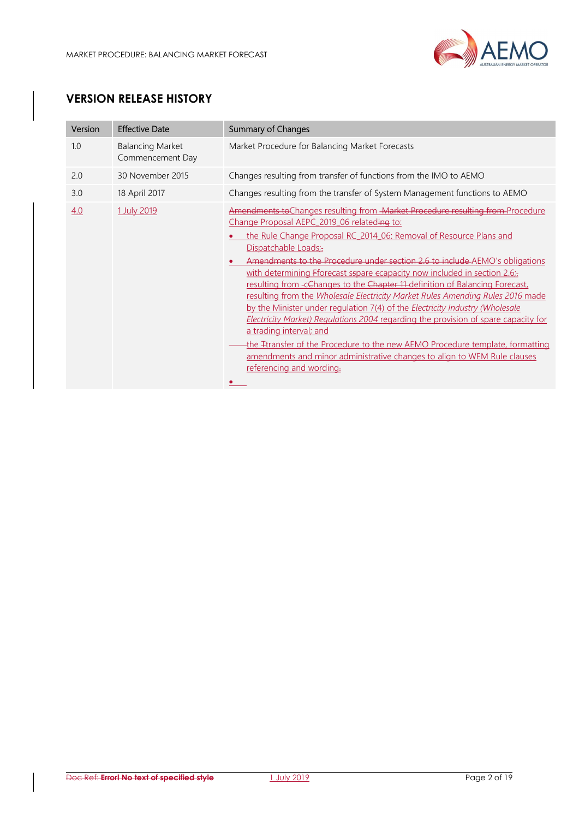

# VERSION RELEASE HISTORY

| Version | <b>Effective Date</b>                       | <b>Summary of Changes</b>                                                                                                                                                                                                                                                                                                                                                                                                                                                                                                                                                                                                                                                                                                                                                                                                                                                                                                                                   |
|---------|---------------------------------------------|-------------------------------------------------------------------------------------------------------------------------------------------------------------------------------------------------------------------------------------------------------------------------------------------------------------------------------------------------------------------------------------------------------------------------------------------------------------------------------------------------------------------------------------------------------------------------------------------------------------------------------------------------------------------------------------------------------------------------------------------------------------------------------------------------------------------------------------------------------------------------------------------------------------------------------------------------------------|
| 1.0     | <b>Balancing Market</b><br>Commencement Day | Market Procedure for Balancing Market Forecasts                                                                                                                                                                                                                                                                                                                                                                                                                                                                                                                                                                                                                                                                                                                                                                                                                                                                                                             |
| 2.0     | 30 November 2015                            | Changes resulting from transfer of functions from the IMO to AEMO                                                                                                                                                                                                                                                                                                                                                                                                                                                                                                                                                                                                                                                                                                                                                                                                                                                                                           |
| 3.0     | 18 April 2017                               | Changes resulting from the transfer of System Management functions to AEMO                                                                                                                                                                                                                                                                                                                                                                                                                                                                                                                                                                                                                                                                                                                                                                                                                                                                                  |
| 4.0     | 1 July 2019                                 | Amendments to Changes resulting from - Market Procedure resulting from-Procedure<br>Change Proposal AEPC_2019_06 relateding to:<br>the Rule Change Proposal RC 2014 06: Removal of Resource Plans and<br>Dispatchable Loads;-<br>Amendments to the Procedure under section 2.6 to include AEMO's obligations<br>with determining Fforecast sspare ecapacity now included in section 2.6;<br>resulting from -cChanges to the Chapter 11-definition of Balancing Forecast,<br>resulting from the Wholesale Electricity Market Rules Amending Rules 2016 made<br>by the Minister under regulation 7(4) of the Electricity Industry (Wholesale<br><b>Electricity Market) Regulations 2004 regarding the provision of spare capacity for</b><br>a trading interval; and<br>the Itransfer of the Procedure to the new AEMO Procedure template, formatting<br>amendments and minor administrative changes to align to WEM Rule clauses<br>referencing and wording. |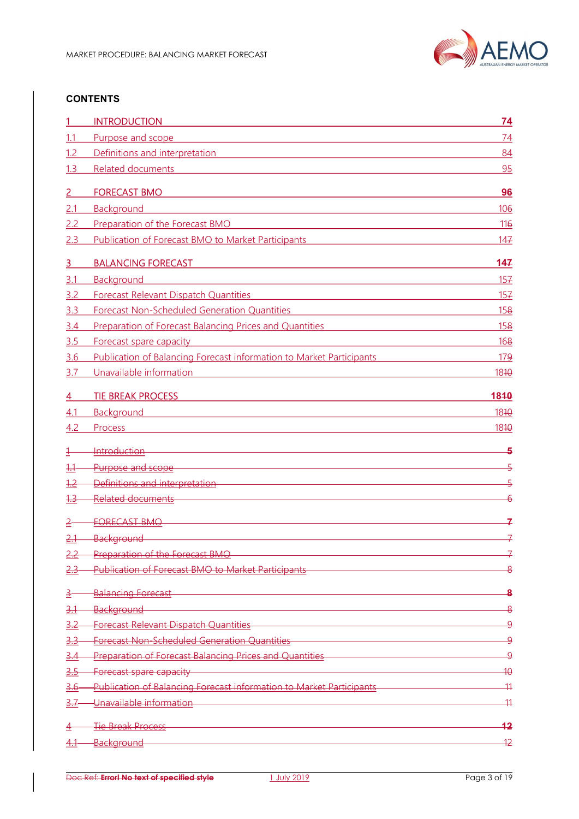

## **CONTENTS**

|             | <b>INTRODUCTION</b>                                                                                                                                            | 74                                 |
|-------------|----------------------------------------------------------------------------------------------------------------------------------------------------------------|------------------------------------|
| 1.1         | Purpose and scope                                                                                                                                              | 74                                 |
| 1.2         | Definitions and interpretation                                                                                                                                 | 84                                 |
| 1.3         | <b>Related documents</b>                                                                                                                                       | 95                                 |
|             | <b>FORECAST BMO</b>                                                                                                                                            | 96                                 |
| 2.1         | Background                                                                                                                                                     | 106                                |
| 2.2         | Preparation of the Forecast BMO<br><u> 1980 - Andrea Aonaichte, ann an t-Èireann an t-Èireann an t-Èireann an t-Èireann an t-Èireann an t-Èireann an </u>      | 116                                |
| 2.3         | Publication of Forecast BMO to Market Participants <b>Example 2018</b>                                                                                         | 147                                |
| 3           | <b>BALANCING FORECAST</b>                                                                                                                                      | 147                                |
| 3.1         | Background<br><u> 1980 - Jan Samuel Barbara, martin di shekara 1980 - Ang katalog asl na shekara 1980 - Ang katalog asl na shek</u>                            | 157                                |
| 3.2         | Forecast Relevant Dispatch Quantities<br><u> 1989 - Johann Stein, marwolaethau a bhann an t-Albann an t-Albann an t-Albann an t-Albann an t-Albann an t-Al</u> | 157                                |
| 3.3         | <b>Forecast Non-Scheduled Generation Quantities</b>                                                                                                            | 158                                |
| 3.4         | Preparation of Forecast Balancing Prices and Quantities <b>Constanting Prices</b> and Cuantities                                                               | 158                                |
| 3.5         | Forecast spare capacity<br><u> 1989 - Johann Barn, mars ann an t-Amhainn an t-Amhainn an t-Amhainn an t-Amhainn an t-Amhainn an t-Amhainn an</u>               | 168                                |
| 3.6         | Publication of Balancing Forecast information to Market Participants                                                                                           | 179                                |
| 3.7         | Unavailable information                                                                                                                                        | 1810                               |
|             |                                                                                                                                                                |                                    |
| 4           | <b>TIE BREAK PROCESS</b>                                                                                                                                       | 1840                               |
| 4.1         | Background and the contract of the contract of the contract of the contract of the contract of the contract of                                                 | 1810                               |
| 4.2         | Process                                                                                                                                                        | 1810                               |
|             | Introduction <b>Executive Construction Construction Construction Construction</b>                                                                              | -5                                 |
| <u> 1.1</u> | Purpose and scope and scope and a structure of the structure of the structure of the structure of the structure                                                | 5                                  |
| 1.2         | Definitions and interpretation entitled and all and all and all and all and all and all and all and all and all                                                | $\overline{\phantom{a}}$           |
| 1.3         | <b>Related documents</b>                                                                                                                                       |                                    |
|             | <b>FORECAST BMO</b>                                                                                                                                            | 구                                  |
| 2.1         | Background                                                                                                                                                     | 그                                  |
| 2.2         | <b>Preparation of the Forecast BMO</b>                                                                                                                         |                                    |
| 2.3         | Publication of Forecast BMO to Market Participants                                                                                                             |                                    |
|             |                                                                                                                                                                |                                    |
|             | <b>Balancing Forecast</b>                                                                                                                                      | $\overline{\mathbf{8}}$            |
| <u>3.1</u>  | <u> 1989 - Johann Stein, marwolaethau a bhann an t-Amhair an t-Amhair an t-Amhair an t-Amhair an t-Amhair an t-A</u><br><b>Background</b>                      | $\overline{\mathbf{8}}$            |
| 3.2         | Forecast Relevant Dispatch Quantities<br><u> 1989 - Johann Stein, marwolaethau a bhann an t-Amhair an t-Amhair an t-Amhair an t-Amhair an t-Amhair an t-A</u>  | $\overline{9}$                     |
| 3.3         | Forecast Non-Scheduled Generation Quantities <b>Constitution Constitution</b> Constitution Constitution Constitution                                           | $\overline{9}$                     |
| <u>3.4</u>  | Preparation of Forecast Balancing Prices and Quantities                                                                                                        | $\overline{9}$                     |
| <u>3.5</u>  | Forecast spare capacity                                                                                                                                        | $\overline{10}$                    |
| 3.6         | Publication of Balancing Forecast information to Market Participants<br>Unavailable information                                                                | $\overline{11}$<br>$\overline{11}$ |
| 3.7         |                                                                                                                                                                |                                    |
|             | Tie Break Process                                                                                                                                              | 42                                 |
| <u>4.1</u>  | Background                                                                                                                                                     | 12                                 |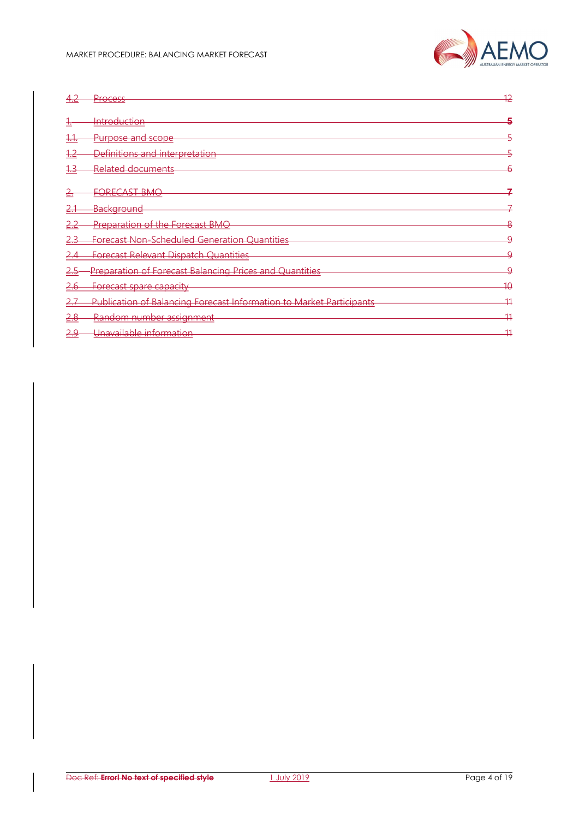

| …∠               | Process                                                              | 42              |
|------------------|----------------------------------------------------------------------|-----------------|
| ᠊᠇               | Introduction                                                         |                 |
| <del>1. t.</del> | Purpose and scope                                                    |                 |
| ے+               | Definitions and interpretation                                       |                 |
| ٠                | Related documents                                                    |                 |
|                  | <b>FORECAST BMO</b>                                                  |                 |
|                  | <u>Background</u>                                                    |                 |
| ∠.∠              | Preparation of the Forecast BMO                                      |                 |
|                  | <b>Forecast Non-Scheduled Generation Quantities</b>                  |                 |
|                  | <b>Forecast Relevant Dispatch Quantities</b>                         | Q               |
| د.∠              | <b>Preparation of Forecast Balancing Prices and Quantities</b>       | O               |
| 2.6              | Forecast spare capacity                                              | $\overline{40}$ |
| ←.+              | Publication of Balancing Forecast Information to Market Participants | 41              |
| 2.8              | Random number assignment                                             | 11              |
| <u>2.9</u>       | Unavailable information                                              | 11<br>п         |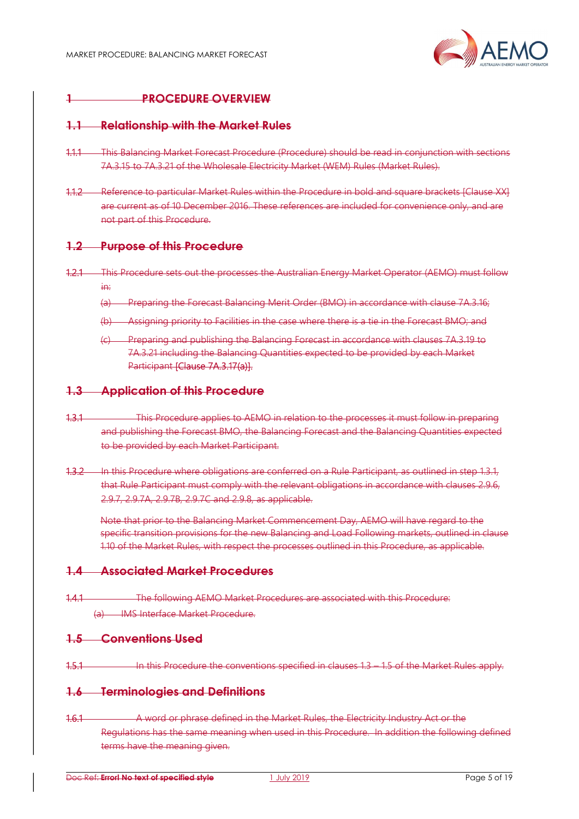

# PROCEDURE OVERVIEW

#### 1.1 Relationship with the Market Rules

- 1.1.1 This Balancing Market Forecast Procedure (Procedure) should be read in conjunction with sections 7A.3.15 to 7A.3.21 of the Wholesale Electricity Market (WEM) Rules (Market Rules).
- 1.1.2 Reference to particular Market Rules within the Procedure in bold and square brackets [Clause XX] are current as of 10 December 2016. These references are included for convenience only, and are not part of this Procedure.

#### 1.2 Purpose of this Procedure

- 1.2.1 This Procedure sets out the processes the Australian Energy Market Operator (AEMO) must follow in:
	- (a) Preparing the Forecast Balancing Merit Order (BMO) in accordance with clause 7A.3.16;
	- (b) Assigning priority to Facilities in the case where there is a tie in the Forecast BMO; and
	- (c) Preparing and publishing the Balancing Forecast in accordance with clauses 7A.3.19 to 7A.3.21 including the Balancing Quantities expected to be provided by each Market Participant [Clause 7A.3.17(a)].

#### 1.3 Application of this Procedure

- 1.3.1 This Procedure applies to AEMO in relation to the processes it must follow in preparing and publishing the Forecast BMO, the Balancing Forecast and the Balancing Quantities expected to be provided by each Market Participant.
- 1.3.2 In this Procedure where obligations are conferred on a Rule Participant, as outlined in step 1.3.1, that Rule Participant must comply with the relevant obligations in accordance with clauses 2.9.6, 2.9.7, 2.9.7A, 2.9.7B, 2.9.7C and 2.9.8, as applicable.

Note that prior to the Balancing Market Commencement Day, AEMO will have regard to the specific transition provisions for the new Balancing and Load Following markets, outlined in clause 1.10 of the Market Rules, with respect the processes outlined in this Procedure, as applicable.

## 1.4 Associated Market Procedures

1.4.1 The following AEMO Market Procedures are associated with this Procedure: (a) IMS Interface Market Procedure.

#### 1.5 Conventions Used

1.5.1 In this Procedure the conventions specified in clauses 1.3 – 1.5 of the Market Rules apply.

#### 1.6 Terminologies and Definitions

1.6.1 A word or phrase defined in the Market Rules, the Electricity Industry Act or the Regulations has the same meaning when used in this Procedure. In addition the following defined terms have the meaning given.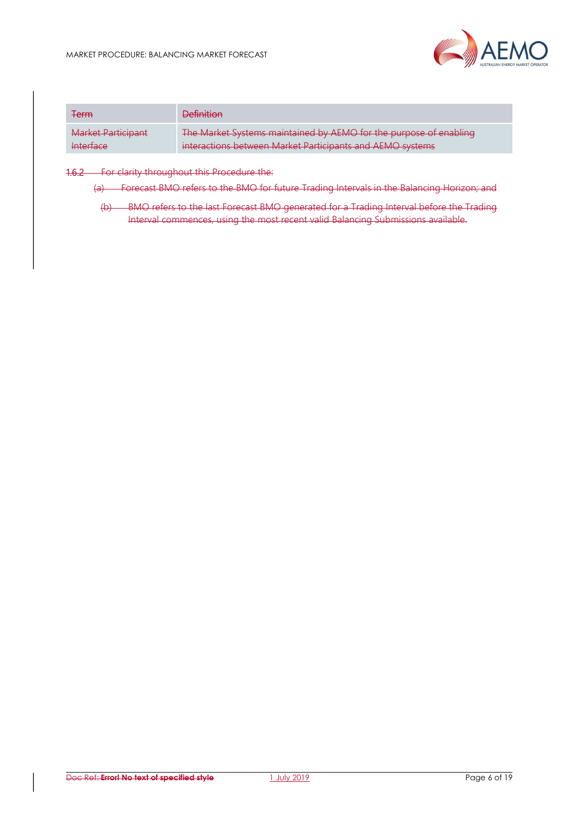

| <b>Term</b>        | <b>Definition</b>                                                 |
|--------------------|-------------------------------------------------------------------|
| Market Participant | The Market Systems maintained by AEMO for the purpose of enabling |
| <b>Interface</b>   | interactions between Market Participants and AEMO systems         |

#### 1.6.2 For clarity throughout this Procedure the:

(a) Forecast BMO refers to the BMO for future Trading Intervals in the Balancing Horizon; and

(b) BMO refers to the last Forecast BMO generated for a Trading Interval before the Trading Interval commences, using the most recent valid Balancing Submissions available.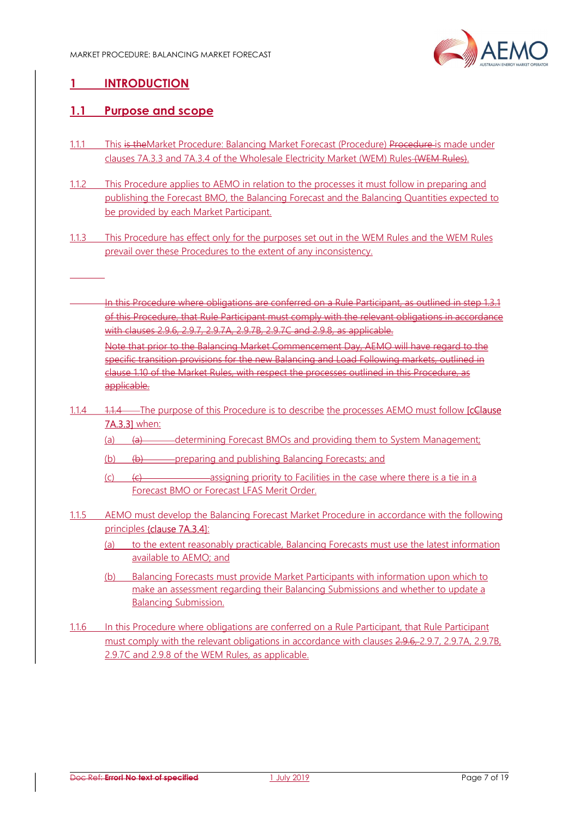

# 1 INTRODUCTION

# 1.1 Purpose and scope

- 1.1.1 This is the Market Procedure: Balancing Market Forecast (Procedure) Procedure is made under clauses 7A.3.3 and 7A.3.4 of the Wholesale Electricity Market (WEM) Rules (WEM Rules).
- 1.1.2 This Procedure applies to AEMO in relation to the processes it must follow in preparing and publishing the Forecast BMO, the Balancing Forecast and the Balancing Quantities expected to be provided by each Market Participant.
- 1.1.3 This Procedure has effect only for the purposes set out in the WEM Rules and the WEM Rules prevail over these Procedures to the extent of any inconsistency.
- In this Procedure where obligations are conferred on a Rule Participant, as outlined in step 1.3.1 of this Procedure, that Rule Participant must comply with the relevant obligations in accordance with clauses 2.9.6, 2.9.7, 2.9.7A, 2.9.7B, 2.9.7C and 2.9.8, as applicable.

Note that prior to the Balancing Market Commencement Day, AEMO will have regard to the specific transition provisions for the new Balancing and Load Following markets, outlined in clause 1.10 of the Market Rules, with respect the processes outlined in this Procedure, as applicable.

- 1.1.4 1.1.4 The purpose of this Procedure is to describe the processes AEMO must follow [cClause] 7A.3.3] when:
	- (a) (a) determining Forecast BMOs and providing them to System Management;
	- (b) (b)  $\left(\frac{b}{c}\right)$  preparing and publishing Balancing Forecasts; and
	- (c)  $\left( \epsilon \right)$  (e)  $\epsilon$   $\epsilon$   $\epsilon$   $\epsilon$   $\epsilon$   $\epsilon$   $\epsilon$  assigning priority to Facilities in the case where there is a tie in a Forecast BMO or Forecast LFAS Merit Order.
- 1.1.5 AEMO must develop the Balancing Forecast Market Procedure in accordance with the following principles {clause 7A.3.4]:
	- (a) to the extent reasonably practicable, Balancing Forecasts must use the latest information available to AEMO; and
	- (b) Balancing Forecasts must provide Market Participants with information upon which to make an assessment regarding their Balancing Submissions and whether to update a Balancing Submission.
- 1.1.6 In this Procedure where obligations are conferred on a Rule Participant, that Rule Participant must comply with the relevant obligations in accordance with clauses 2.9.6, 2.9.7, 2.9.7A, 2.9.7B, 2.9.7C and 2.9.8 of the WEM Rules, as applicable.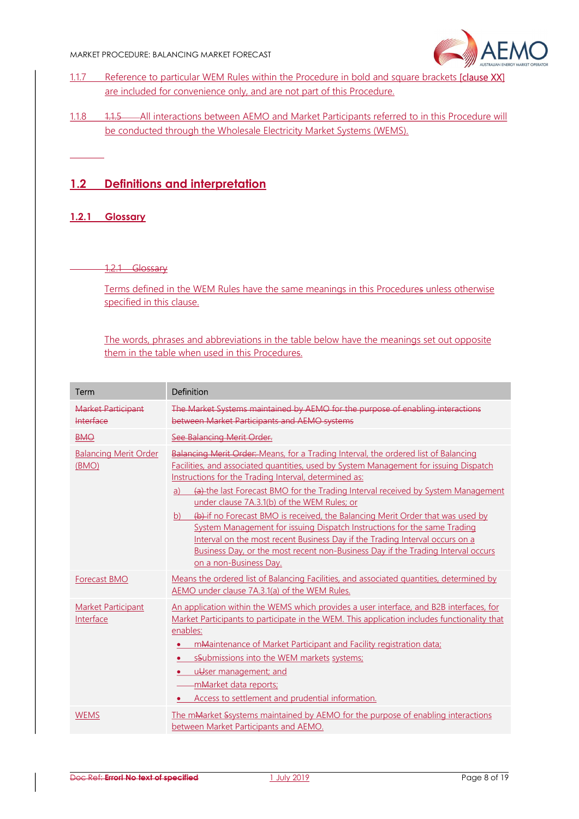

- 1.1.7 Reference to particular WEM Rules within the Procedure in bold and square brackets [clause XX] are included for convenience only, and are not part of this Procedure.
- 1.1.8 1.1.5 All interactions between AEMO and Market Participants referred to in this Procedure will be conducted through the Wholesale Electricity Market Systems (WEMS).

# 1.2 Definitions and interpretation

#### 1.2.1 Glossary

#### 1.2.1 Glossary

Terms defined in the WEM Rules have the same meanings in this Procedures unless otherwise specified in this clause.

The words, phrases and abbreviations in the table below have the meanings set out opposite them in the table when used in this Procedures.

| Term                                   | Definition                                                                                                                                                                                                                                                                                                                                                                                                                                                                                                                                                                                                                                                                                                                                       |
|----------------------------------------|--------------------------------------------------------------------------------------------------------------------------------------------------------------------------------------------------------------------------------------------------------------------------------------------------------------------------------------------------------------------------------------------------------------------------------------------------------------------------------------------------------------------------------------------------------------------------------------------------------------------------------------------------------------------------------------------------------------------------------------------------|
| <b>Market Participant</b><br>Interface | The Market Systems maintained by AEMO for the purpose of enabling interactions<br>between Market Participants and AEMO systems                                                                                                                                                                                                                                                                                                                                                                                                                                                                                                                                                                                                                   |
| <b>BMO</b>                             | See Balancing Merit Order.                                                                                                                                                                                                                                                                                                                                                                                                                                                                                                                                                                                                                                                                                                                       |
| <b>Balancing Merit Order</b><br>(BMO)  | Balancing Merit Order: Means, for a Trading Interval, the ordered list of Balancing<br>Facilities, and associated quantities, used by System Management for issuing Dispatch<br>Instructions for the Trading Interval, determined as:<br>(a) the last Forecast BMO for the Trading Interval received by System Management<br>a)<br>under clause 7A.3.1(b) of the WEM Rules; or<br>(b) if no Forecast BMO is received, the Balancing Merit Order that was used by<br>b)<br>System Management for issuing Dispatch Instructions for the same Trading<br>Interval on the most recent Business Day if the Trading Interval occurs on a<br>Business Day, or the most recent non-Business Day if the Trading Interval occurs<br>on a non-Business Day. |
| <b>Forecast BMO</b>                    | Means the ordered list of Balancing Facilities, and associated quantities, determined by<br>AEMO under clause 7A.3.1(a) of the WEM Rules.                                                                                                                                                                                                                                                                                                                                                                                                                                                                                                                                                                                                        |
| <b>Market Participant</b><br>Interface | An application within the WEMS which provides a user interface, and B2B interfaces, for<br>Market Participants to participate in the WEM. This application includes functionality that<br>enables:<br>mMaintenance of Market Participant and Facility registration data;<br>sSubmissions into the WEM markets systems;<br>uUser management; and<br>mMarket data reports;<br>Access to settlement and prudential information.                                                                                                                                                                                                                                                                                                                     |
| <b>WEMS</b>                            | The mMarket Ssystems maintained by AEMO for the purpose of enabling interactions<br>between Market Participants and AEMO.                                                                                                                                                                                                                                                                                                                                                                                                                                                                                                                                                                                                                        |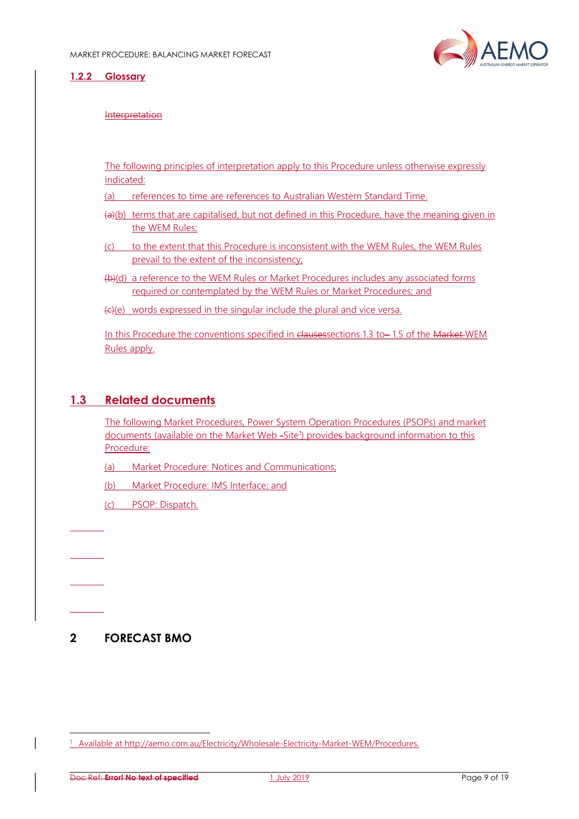

#### 1.2.2 Glossary

#### Interpretation

The following principles of interpretation apply to this Procedure unless otherwise expressly indicated:

(a) references to time are references to Australian Western Standard Time.

- (a)(b) terms that are capitalised, but not defined in this Procedure, have the meaning given in the WEM Rules;
- (c) to the extent that this Procedure is inconsistent with the WEM Rules, the WEM Rules prevail to the extent of the inconsistency;
- (b)(d) a reference to the WEM Rules or Market Procedures includes any associated forms required or contemplated by the WEM Rules or Market Procedures; and
- (c)(e) words expressed in the singular include the plural and vice versa.

In this Procedure the conventions specified in clausessections 1.3 to-1.5 of the Market WEM Rules apply.

## 1.3 Related documents

The following Market Procedures, Power System Operation Procedures (PSOPs) and market documents (available on the Market Web -Site<sup>1</sup>) provides background information to this Procedure:

(a) Market Procedure: Notices and Communications;

(b) Market Procedure: IMS Interface; and

(c) PSOP: Dispatch.

# 2 FORECAST BMO

-

<sup>&</sup>lt;sup>1</sup> Available at http://aemo.com.au/Electricity/Wholesale-Electricity-Market-WEM/Procedures.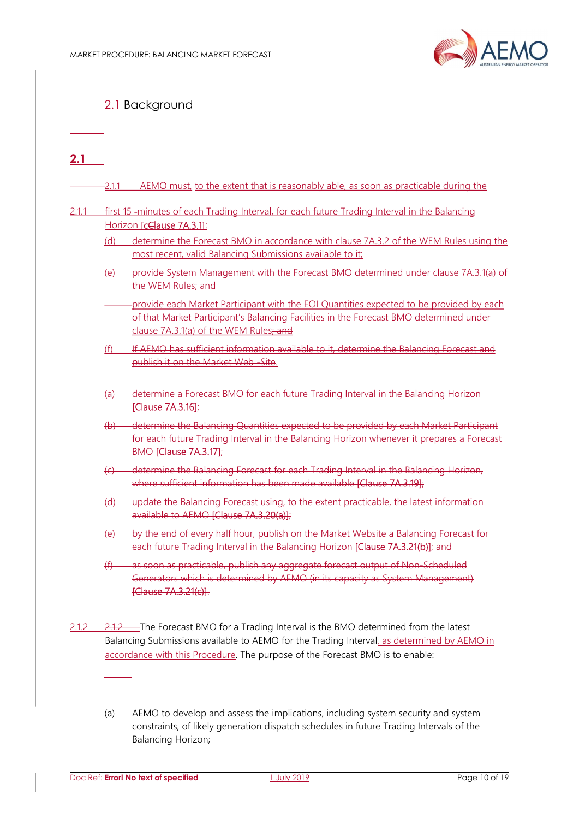

2.1-Background

# $2.1$

 $\overline{\phantom{a}}$ 

|                   | first 15 -minutes of each Trading Interval, for each future Trading Interval in the Balancing                                                                                                                               |
|-------------------|-----------------------------------------------------------------------------------------------------------------------------------------------------------------------------------------------------------------------------|
|                   | Horizon [cClause 7A.3.1]:                                                                                                                                                                                                   |
| (d)               | determine the Forecast BMO in accordance with clause 7A.3.2 of the WEM Rules using the<br>most recent, valid Balancing Submissions available to it;                                                                         |
| (e)               | provide System Management with the Forecast BMO determined under clause 7A.3.1(a) of<br>the WEM Rules; and                                                                                                                  |
|                   | provide each Market Participant with the EOI Quantities expected to be provided by each<br>of that Market Participant's Balancing Facilities in the Forecast BMO determined under<br>clause 7A.3.1(a) of the WEM Rules; and |
| (f)               | If AEMO has sufficient information available to it, determine the Balancing Forecast and<br>publish it on the Market Web-Site.                                                                                              |
| $\leftrightarrow$ | determine a Forecast BMO for each future Trading Interval in the Balancing Horizon<br>[Clause 7A.3.16];                                                                                                                     |
|                   | (b) determine the Balancing Quantities expected to be provided by each Market Participant<br>for each future Trading Interval in the Balancing Horizon whenever it prepares a Forecast<br><b>BMO [Clause 7A.3.17];</b>      |
|                   | (c) determine the Balancing Forecast for each Trading Interval in the Balancing Horizon,<br>where sufficient information has been made available [Clause 7A.3.19];                                                          |
|                   | (d) update the Balancing Forecast using, to the extent practicable, the latest information<br>available to AEMO [Clause 7A.3.20(a)];                                                                                        |
|                   | (e) by the end of every half hour, publish on the Market Website a Balancing Forecast for<br>each future Trading Interval in the Balancing Horizon [Clause 7A.3.21(b)]; and                                                 |
| (f)               | as soon as practicable, publish any aggregate forecast output of Non-Scheduled<br>Generators which is determined by AEMO (in its capacity as System Management)<br>[Clause 7A.3.21(c)].                                     |

(a) AEMO to develop and assess the implications, including system security and system constraints, of likely generation dispatch schedules in future Trading Intervals of the Balancing Horizon;

accordance with this Procedure. The purpose of the Forecast BMO is to enable:

Balancing Submissions available to AEMO for the Trading Interval, as determined by AEMO in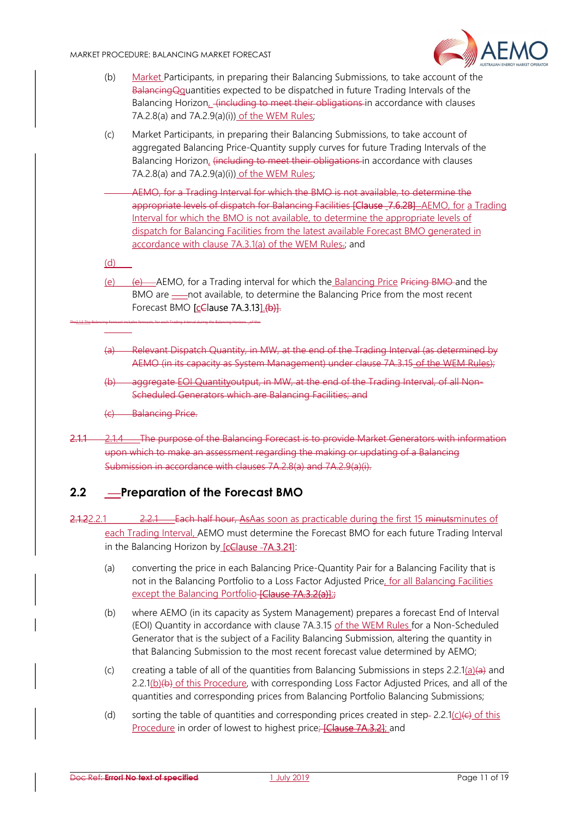

- (b) Market Participants, in preparing their Balancing Submissions, to take account of the BalancingQquantities expected to be dispatched in future Trading Intervals of the Balancing Horizon, <del>(including to meet their obligations i</del>n accordance with clauses 7A.2.8(a) and 7A.2.9(a)(i)) of the WEM Rules;
- (c) Market Participants, in preparing their Balancing Submissions, to take account of aggregated Balancing Price-Quantity supply curves for future Trading Intervals of the Balancing Horizon, (including to meet their obligations in accordance with clauses 7A.2.8(a) and 7A.2.9(a)(i)) of the WEM Rules;
	- AEMO, for a Trading Interval for which the BMO is not available, to determine the appropriate levels of dispatch for Balancing Facilities [Clause \_7.6.2B] AEMO, for a Trading Interval for which the BMO is not available, to determine the appropriate levels of dispatch for Balancing Facilities from the latest available Forecast BMO generated in accordance with clause 7A.3.1(a) of the WEM Rules-; and

(d)

- (e) (e) AEMO, for a Trading interval for which the Balancing Price Pricing BMO and the BMO are — not available, to determine the Balancing Price from the most recent Forecast BMO [cClause 7A.3.13].(b)].
- (a) Relevant Dispatch Quantity, in MW, at the end of the Trading Interval (as determined by AEMO (in its capacity as System Management) under clause 7A.3.15 of the WEM Rules);
- (b) aggregate EOI Quantityoutput, in MW, at the end of the Trading Interval, of all Non-Scheduled Generators which are Balancing Facilities; and
- (c) Balancing Price.

The2.1.3 The Balancing Forecast includes forecasts, for each Trading Interval during the Balancing Horizon, of the:

2.1.1 2.1.4 The purpose of the Balancing Forecast is to provide Market Generators with information upon which to make an assessment regarding the making or updating of a Balancing Submission in accordance with clauses 7A.2.8(a) and 7A.2.9(a)(i).

# 2.2 - Preparation of the Forecast BMO

- 2.1.22.2.1 2.2.1 Each half hour, AsAas soon as practicable during the first 15 minutsminutes of each Trading Interval, AEMO must determine the Forecast BMO for each future Trading Interval in the Balancing Horizon by [cClause -7A.3.21]:
	- (a) converting the price in each Balancing Price-Quantity Pair for a Balancing Facility that is not in the Balancing Portfolio to a Loss Factor Adjusted Price, for all Balancing Facilities except the Balancing Portfolio-**[Clause 7A.3.2(a)]**;
	- (b) where AEMO (in its capacity as System Management) prepares a forecast End of Interval (EOI) Quantity in accordance with clause 7A.3.15 of the WEM Rules for a Non-Scheduled Generator that is the subject of a Facility Balancing Submission, altering the quantity in that Balancing Submission to the most recent forecast value determined by AEMO;
	- (c) creating a table of all of the quantities from Balancing Submissions in steps 2.2.1(a)(a) and  $2.2.1(b)(b)$  of this Procedure, with corresponding Loss Factor Adjusted Prices, and all of the quantities and corresponding prices from Balancing Portfolio Balancing Submissions;
	- (d) sorting the table of quantities and corresponding prices created in step- 2.2.1(c)( $\epsilon$ ) of this Procedure in order of lowest to highest price; [Clause 7A.3.2]; and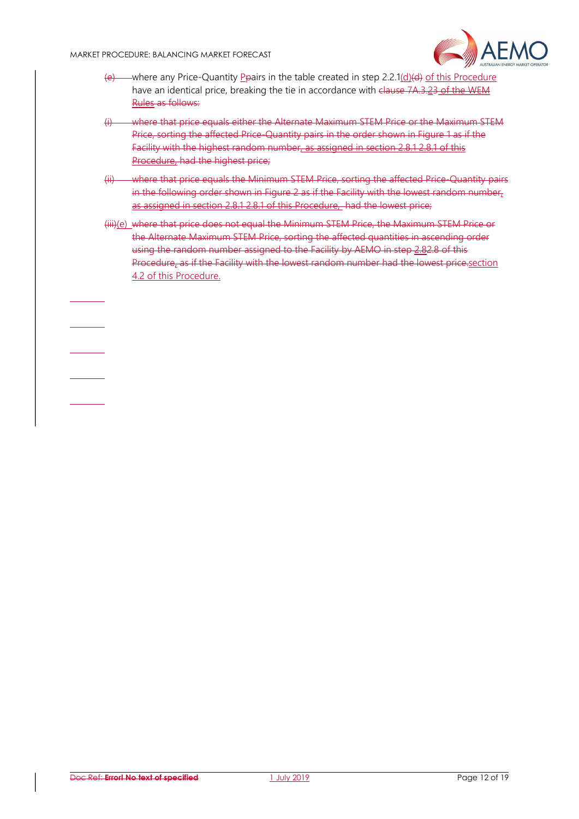

- $(e)$  where any Price-Quantity Peairs in the table created in step 2.2.1(d)(d) of this Procedure have an identical price, breaking the tie in accordance with clause 7A.3.23 of the WEM Rules as follows:
- (i) where that price equals either the Alternate Maximum STEM Price or the Maximum STEM Price, sorting the affected Price-Quantity pairs in the order shown in Figure 1 as if the Facility with the highest random number, as assigned in section 2.8.1 2.8.1 of this Procedure, had the highest price;
- (ii) where that price equals the Minimum STEM Price, sorting the affected Price-Quantity pairs in the following order shown in Figure 2 as if the Facility with the lowest random number. as assigned in section 2.8.1 2.8.1 of this Procedure, had the lowest price;
- (iii)(e) where that price does not equal the Minimum STEM Price, the Maximum STEM Price or the Alternate Maximum STEM Price, sorting the affected quantities in ascending order using the random number assigned to the Facility by AEMO in step 2.82.8 of this Procedure, as if the Facility with the lowest random number had the lowest price.section 4.2 of this Procedure.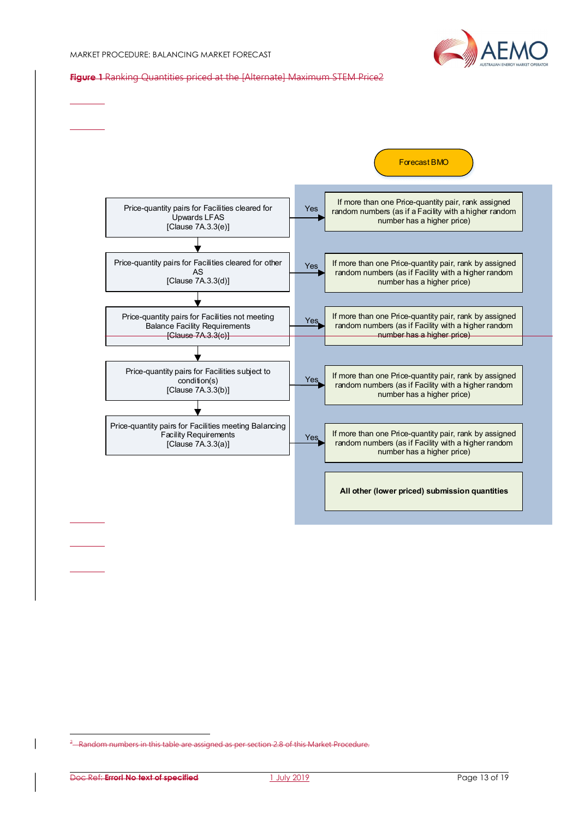

Figure 1 Ranking Quantities priced at the [Alternate] Maximum STEM Price2



-

<sup>&</sup>lt;sup>2</sup> Random numbers in this table are assigned as per section 2.8 of this Market Procedure.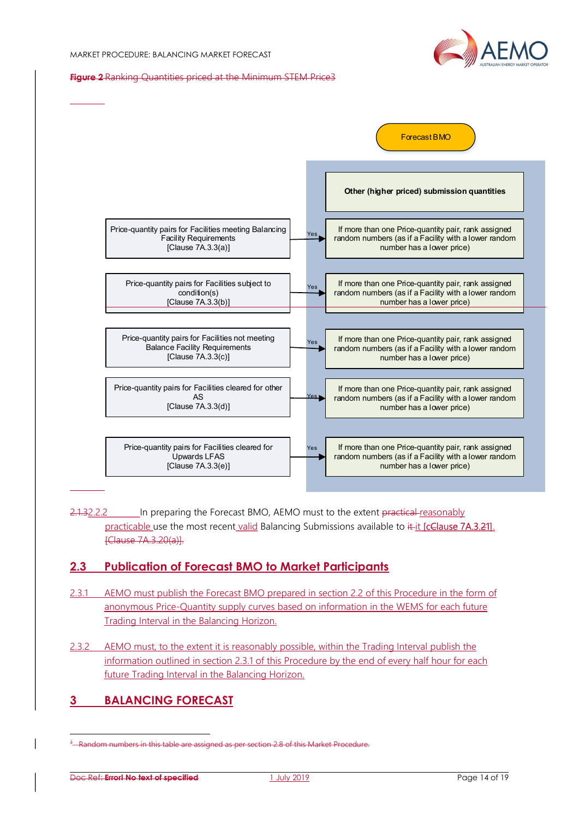

#### Figure 2 Ranking Quantities priced at the Minimum STEM Price3



2.1.32.2.2 In preparing the Forecast BMO, AEMO must to the extent practical reasonably practicable use the most recent valid Balancing Submissions available to it it [cClause 7A.3.21]. [Clause 7A.3.20(a)].

## 2.3 Publication of Forecast BMO to Market Participants

- 2.3.1 AEMO must publish the Forecast BMO prepared in section 2.2 of this Procedure in the form of anonymous Price-Quantity supply curves based on information in the WEMS for each future Trading Interval in the Balancing Horizon.
- 2.3.2 AEMO must, to the extent it is reasonably possible, within the Trading Interval publish the information outlined in section 2.3.1 of this Procedure by the end of every half hour for each future Trading Interval in the Balancing Horizon.

# 3 BALANCING FORECAST

-

<sup>&</sup>lt;sup>3</sup> Random numbers in this table are assigned as per section 2.8 of this Market Procedure.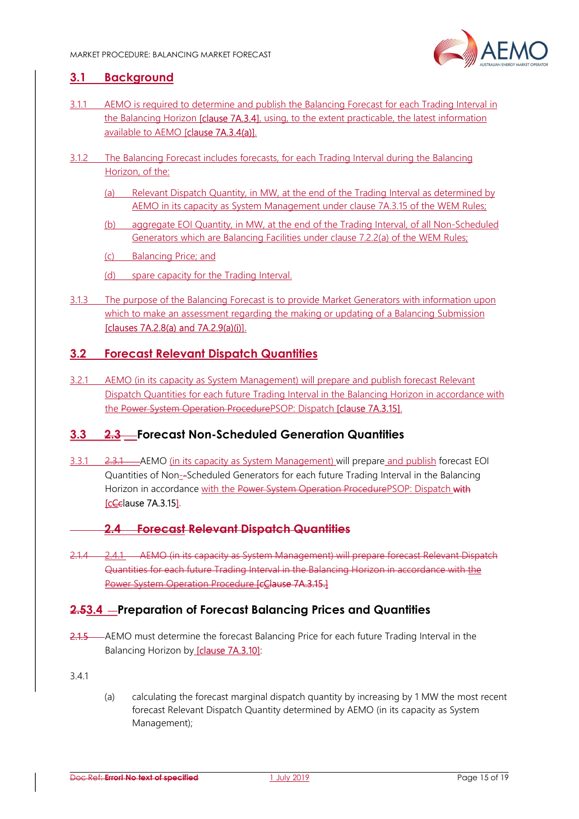

## 3.1 Background

- 3.1.1 AEMO is required to determine and publish the Balancing Forecast for each Trading Interval in the Balancing Horizon **[clause 7A.3.4]**, using, to the extent practicable, the latest information available to AEMO [clause 7A.3.4(a)].
- 3.1.2 The Balancing Forecast includes forecasts, for each Trading Interval during the Balancing Horizon, of the:
	- (a) Relevant Dispatch Quantity, in MW, at the end of the Trading Interval as determined by AEMO in its capacity as System Management under clause 7A.3.15 of the WEM Rules;
	- (b) aggregate EOI Quantity, in MW, at the end of the Trading Interval, of all Non-Scheduled Generators which are Balancing Facilities under clause 7.2.2(a) of the WEM Rules;

(c) Balancing Price; and

- (d) spare capacity for the Trading Interval.
- 3.1.3 The purpose of the Balancing Forecast is to provide Market Generators with information upon which to make an assessment regarding the making or updating of a Balancing Submission [clauses 7A.2.8(a) and 7A.2.9(a)(i)].

# 3.2 Forecast Relevant Dispatch Quantities

3.2.1 AEMO (in its capacity as System Management) will prepare and publish forecast Relevant Dispatch Quantities for each future Trading Interval in the Balancing Horizon in accordance with the Power System Operation ProcedurePSOP: Dispatch [clause 7A.3.15].

# 3.3 2.3 Forecast Non-Scheduled Generation Quantities

- 3.3.1 2.3.1 AEMO (in its capacity as System Management) will prepare and publish forecast EOI Quantities of Non--Scheduled Generators for each future Trading Interval in the Balancing Horizon in accordance with the Power System Operation ProcedurePSOP: Dispatch with [cCclause 7A.3.15].
	- 2.4 Forecast Relevant Dispatch Quantities
- 2.1.4 2.4.1 AEMO (in its capacity as System Management) will prepare forecast Relevant Dispatch Quantities for each future Trading Interval in the Balancing Horizon in accordance with the Power System Operation Procedure [cClause 7A.3.15.]

## 2.53.4 - Preparation of Forecast Balancing Prices and Quantities

2.1.5 AEMO must determine the forecast Balancing Price for each future Trading Interval in the Balancing Horizon by [clause 7A.3.10]:

3.4.1

(a) calculating the forecast marginal dispatch quantity by increasing by 1 MW the most recent forecast Relevant Dispatch Quantity determined by AEMO (in its capacity as System Management);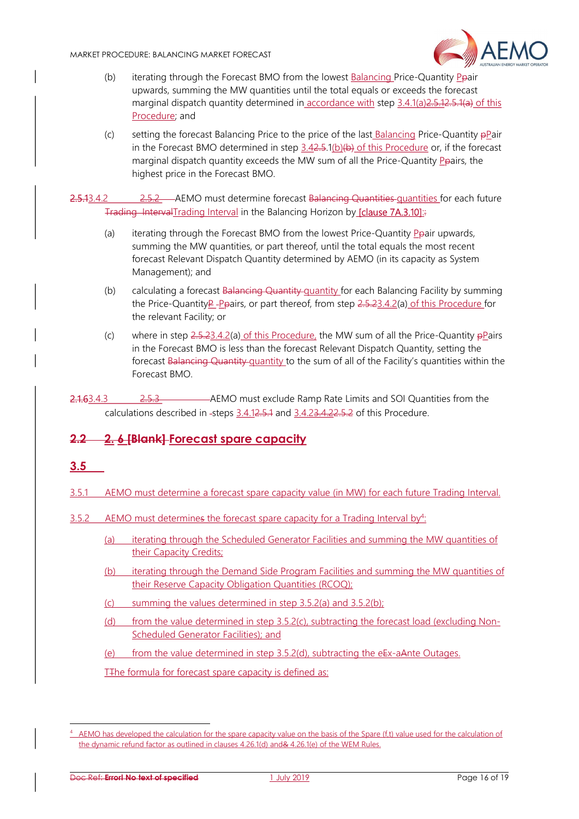

- (b) iterating through the Forecast BMO from the lowest Balancing Price-Quantity Ppair upwards, summing the MW quantities until the total equals or exceeds the forecast marginal dispatch quantity determined in accordance with step 3.4.1(a) 2.5.12.5.1(a) of this Procedure; and
- (c) setting the forecast Balancing Price to the price of the last Balancing Price-Quantity pPair in the Forecast BMO determined in step  $3.42.5.1(b)(b)$  of this Procedure or, if the forecast marginal dispatch quantity exceeds the MW sum of all the Price-Quantity Ppairs, the highest price in the Forecast BMO.

2.5.13.4.2 2.5.2 AEMO must determine forecast Balancing Quantities quantities for each future Trading IntervalTrading Interval in the Balancing Horizon by [clause 7A.3.10]::

- (a) iterating through the Forecast BMO from the lowest Price-Quantity Ppair upwards, summing the MW quantities, or part thereof, until the total equals the most recent forecast Relevant Dispatch Quantity determined by AEMO (in its capacity as System Management); and
- (b) calculating a forecast Balancing Quantity quantity for each Balancing Facility by summing the Price-QuantityP Ppairs, or part thereof, from step 2.5.23.4.2(a) of this Procedure for the relevant Facility; or
- (c) where in step  $2.5.23.4.2$ (a) of this Procedure, the MW sum of all the Price-Quantity  $\frac{1}{2}$  Pairs in the Forecast BMO is less than the forecast Relevant Dispatch Quantity, setting the forecast Balancing Quantity quantity to the sum of all of the Facility's quantities within the Forecast BMO.

2.1.63.4.3 2.5.3 AEMO must exclude Ramp Rate Limits and SOI Quantities from the calculations described in -steps 3.4.12.5.1 and 3.4.23.4.22.5.2 of this Procedure.

# 2.2 2. 6 [Blank] Forecast spare capacity

# 3.5

-

- 3.5.1 AEMO must determine a forecast spare capacity value (in MW) for each future Trading Interval.
- $3.5.2$  AEMO must determines the forecast spare capacity for a Trading Interval by<sup>4</sup>:
	- (a) iterating through the Scheduled Generator Facilities and summing the MW quantities of their Capacity Credits;
	- (b) iterating through the Demand Side Program Facilities and summing the MW quantities of their Reserve Capacity Obligation Quantities (RCOQ);
	- (c) summing the values determined in step 3.5.2(a) and 3.5.2(b);
	- (d) from the value determined in step 3.5.2(c), subtracting the forecast load (excluding Non-Scheduled Generator Facilities); and
	- (e) from the value determined in step 3.5.2(d), subtracting the eEx-aAnte Outages.

T<sub>T</sub>he formula for forecast spare capacity is defined as:

<sup>4</sup> AEMO has developed the calculation for the spare capacity value on the basis of the Spare (f,t) value used for the calculation of the dynamic refund factor as outlined in clauses 4.26.1(d) and& 4.26.1(e) of the WEM Rules.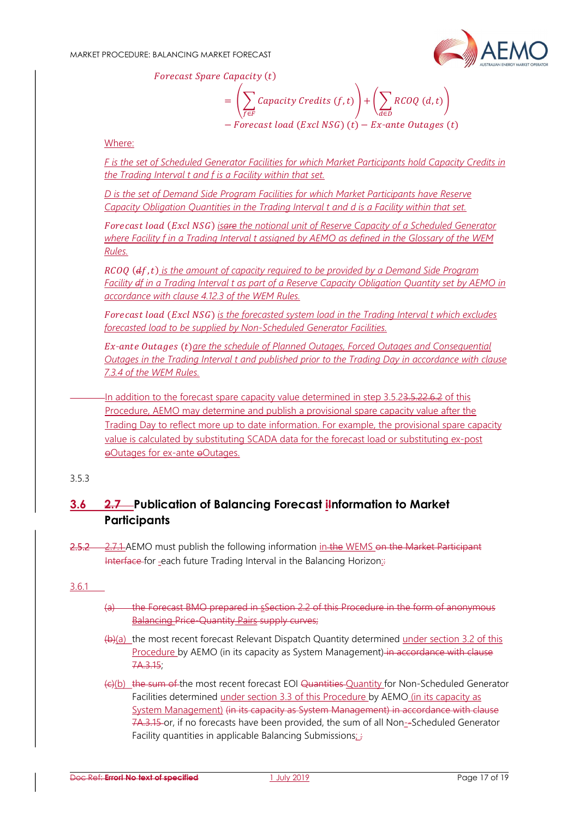

Forecast Spare Capacity (t)

 $=\int\int Capacity Credits (f,t) + \int\int RCOQ(d,t)$  $f \in F$ ௗ∈  $-Forecast load (Excl NSG) (t) - Ex-ante Outages (t)$ 

Where:

F is the set of Scheduled Generator Facilities for which Market Participants hold Capacity Credits in the Trading Interval t and f is a Facility within that set.

D is the set of Demand Side Program Facilities for which Market Participants have Reserve Capacity Obligation Quantities in the Trading Interval t and d is a Facility within that set.

Forecast load (Excl NSG) isare the notional unit of Reserve Capacity of a Scheduled Generator where Facility f in a Trading Interval t assigned by AEMO as defined in the Glossary of the WEM Rules.

 $RCOO$  ( $df$ , t) is the amount of capacity required to be provided by a Demand Side Program Facility df in a Trading Interval t as part of a Reserve Capacity Obligation Quantity set by AEMO in accordance with clause 4.12.3 of the WEM Rules.

Forecast load (Excl NSG) is the forecasted system load in the Tradina Interval t which excludes forecasted load to be supplied by Non-Scheduled Generator Facilities.

Ex-ante Outages (t)are the schedule of Planned Outages, Forced Outages and Consequential Outages in the Trading Interval t and published prior to the Trading Day in accordance with clause 7.3.4 of the WEM Rules.

In addition to the forecast spare capacity value determined in step 3.5.23.5.22.6.2 of this Procedure, AEMO may determine and publish a provisional spare capacity value after the Trading Day to reflect more up to date information. For example, the provisional spare capacity value is calculated by substituting SCADA data for the forecast load or substituting ex-post oOutages for ex-ante oOutages.

#### 3.5.3

# 3.6 2.7 Publication of Balancing Forecast information to Market **Participants**

2.5.2 2.7.1 AEMO must publish the following information in the WEMS on the Market Participant Interface for -each future Trading Interval in the Balancing Horizon::

#### 3.6.1

- (a) the Forecast BMO prepared in sSection 2.2 of this Procedure in the form of anonymous Balancing Price-Quantity Pairs supply curves;
- (b)(a) the most recent forecast Relevant Dispatch Quantity determined under section 3.2 of this Procedure by AEMO (in its capacity as System Management) in accordance with clause 7A.3.15;
- (c)(b) the sum of the most recent forecast EOI Quantities Quantity for Non-Scheduled Generator Facilities determined under section 3.3 of this Procedure by AEMO (in its capacity as System Management) (in its capacity as System Management) in accordance with clause 7A.3.15 or, if no forecasts have been provided, the sum of all Non-Scheduled Generator Facility quantities in applicable Balancing Submissions; *;*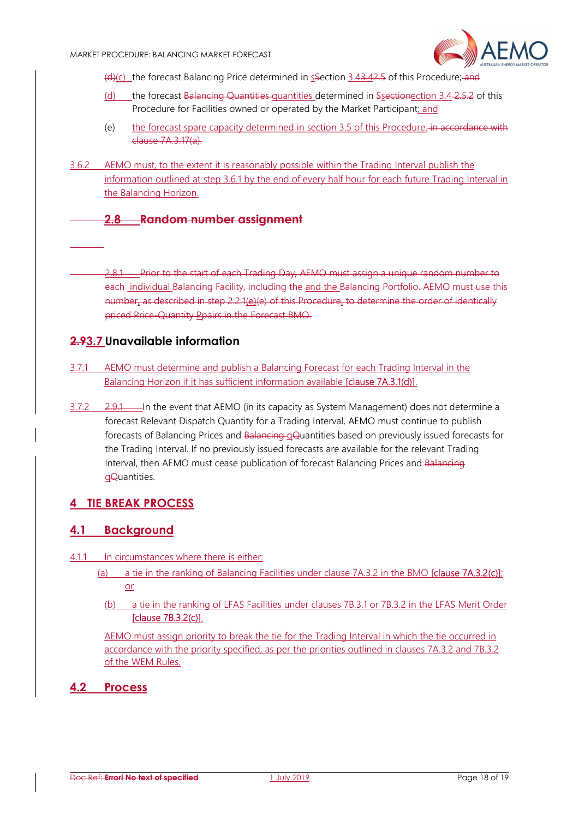

(d)(c) the forecast Balancing Price determined in sSection 3.43.42.5 of this Procedure; and

- (d) the forecast Balancing Quantities quantities determined in Ssectionection 3.4 2.5.2 of this Procedure for Facilities owned or operated by the Market Participant; and
- (e) the forecast spare capacity determined in section 3.5 of this Procedure. in accordance with clause 7A.3.17(a).
- 3.6.2 AEMO must, to the extent it is reasonably possible within the Trading Interval publish the information outlined at step 3.6.1 by the end of every half hour for each future Trading Interval in the Balancing Horizon.

# 2.8 Random number assignment

2.8.1 Prior to the start of each Trading Day, AEMO must assign a unique random number to each individual Balancing Facility, including the and the Balancing Portfolio. AEMO must use this number, as described in step 2.2.1(e)(e) of this Procedure, to determine the order of identically priced Price-Quantity Ppairs in the Forecast BMO.

## 2.93.7 Unavailable information

- 3.7.1 AEMO must determine and publish a Balancing Forecast for each Trading Interval in the Balancing Horizon if it has sufficient information available **[clause 7A.3.1(d)]**.
- $3.7.2$   $2.9.1$  In the event that AEMO (in its capacity as System Management) does not determine a forecast Relevant Dispatch Quantity for a Trading Interval, AEMO must continue to publish forecasts of Balancing Prices and Balancing qQuantities based on previously issued forecasts for the Trading Interval. If no previously issued forecasts are available for the relevant Trading Interval, then AEMO must cease publication of forecast Balancing Prices and Balancing qQuantities.

# 4 TIE BREAK PROCESS

#### 4.1 Background

- 4.1.1 In circumstances where there is either:
	- (a) a tie in the ranking of Balancing Facilities under clause 7A.3.2 in the BMO **[clause 7A.3.2(c)**]; or
		- (b) a tie in the ranking of LFAS Facilities under clauses 7B.3.1 or 7B.3.2 in the LFAS Merit Order [clause 7B.3.2(c)],

AEMO must assign priority to break the tie for the Trading Interval in which the tie occurred in accordance with the priority specified, as per the priorities outlined in clauses 7A.3.2 and 7B.3.2 of the WEM Rules.

#### 4.2 Process